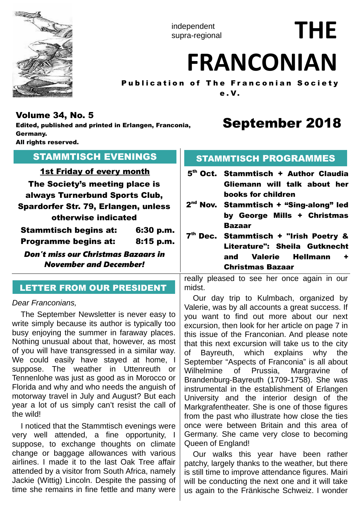

independent supra-regional

# **THE**

# **FRANCONIAN**

Publication of The Franconian Society e . V.

## Volume 34, No. 5

Edited, published and printed in Erlangen, Franconia, Germany. All rights reserved.

# September 2018

| <b>STAMMTISCH EVENINGS</b>                                                                                                                                                                                                                                                                                                      | <b>STAMMTISCH PROGRAMMES</b>                                                                                                                                                                                                                                                                                                                                                                 |  |  |  |  |
|---------------------------------------------------------------------------------------------------------------------------------------------------------------------------------------------------------------------------------------------------------------------------------------------------------------------------------|----------------------------------------------------------------------------------------------------------------------------------------------------------------------------------------------------------------------------------------------------------------------------------------------------------------------------------------------------------------------------------------------|--|--|--|--|
| <b>1st Friday of every month</b><br>The Society's meeting place is<br>always Turnerbund Sports Club,<br>Spardorfer Str. 79, Erlangen, unless<br>otherwise indicated<br><b>Stammtisch begins at:</b><br>6:30 p.m.<br>Programme begins at:<br>$8:15$ p.m.<br>Don't miss our Christmas Bazaars in<br><b>November and December!</b> | 5 <sup>th</sup> Oct. Stammtisch + Author Claudia<br>Gliemann will talk about her<br>books for children<br>2 <sup>nd</sup> Nov. Stammtisch + "Sing-along" led<br>by George Mills + Christmas<br><b>Bazaar</b><br>7 <sup>th</sup> Dec. Stammtisch + "Irish Poetry &<br>Literature": Sheila Gutknecht<br><b>Hellmann</b><br><b>Valerie</b><br>and<br>٠<br><b>Christmas Bazaar</b>               |  |  |  |  |
| <b>LETTER FROM OUR PRESIDENT</b>                                                                                                                                                                                                                                                                                                | really pleased to see her once again in our<br>midst.                                                                                                                                                                                                                                                                                                                                        |  |  |  |  |
| Dear Franconians,<br>The September Newsletter is never easy to<br>write simply because its author is typically too<br>busy enjoying the summer in faraway places.<br>Nothing unusual about that, however, as most<br>of you will have transgressed in a similar way.<br>We could easily have stayed at home, I                  | Our day trip to Kulmbach, organized by<br>Valerie, was by all accounts a great success. If<br>you want to find out more about our next<br>excursion, then look for her article on page 7 in<br>this issue of the Franconian. And please note<br>that this next excursion will take us to the city<br>Bayreuth, which explains why the<br>Οf<br>September "Aspects of Franconia" is all about |  |  |  |  |

of you will have transgressed in a similar way. We could easily suppose. The weather in Uttenreuth or Tennenlohe was just as good as in Morocco or Florida and why and who needs the anguish of motorway travel in July and August? But each year a lot of us simply can't resist the call of the wild!

I noticed that the Stammtisch evenings were very well attended, a fine opportunity, I suppose, to exchange thoughts on climate change or baggage allowances with various airlines. I made it to the last Oak Tree affair attended by a visitor from South Africa, namely Jackie (Wittig) Lincoln. Despite the passing of time she remains in fine fettle and many were

Our walks this year have been rather patchy, largely thanks to the weather, but there is still time to improve attendance figures. Mairi will be conducting the next one and it will take us again to the Fränkische Schweiz. I wonder

Queen of England!

Wilhelmine of Prussia, Margravine of Brandenburg-Bayreuth (1709-1758). She was instrumental in the establishment of Erlangen University and the interior design of the Markgrafentheater. She is one of those figures from the past who illustrate how close the ties once were between Britain and this area of Germany. She came very close to becoming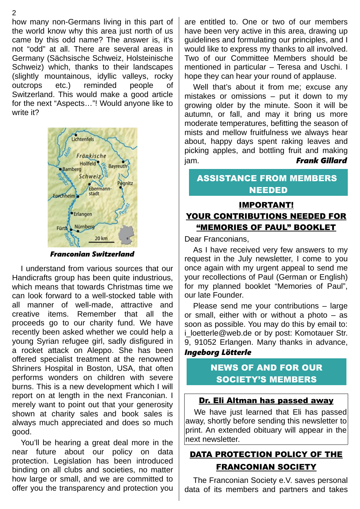how many non-Germans living in this part of the world know why this area just north of us came by this odd name? The answer is, it's not "odd" at all. There are several areas in Germany (Sächsische Schweiz, Holsteinische Schweiz) which, thanks to their landscapes (slightly mountainous, idyllic valleys, rocky outcrops etc.) reminded people of Switzerland. This would make a good article for the next "Aspects…"! Would anyone like to write it?



*Franconian Switzerland*

I understand from various sources that our Handicrafts group has been quite industrious, which means that towards Christmas time we can look forward to a well-stocked table with all manner of well-made, attractive and creative items. Remember that all the proceeds go to our charity fund. We have recently been asked whether we could help a young Syrian refugee girl, sadly disfigured in a rocket attack on Aleppo. She has been offered specialist treatment at the renowned Shriners Hospital in Boston, USA, that often performs wonders on children with severe burns. This is a new development which I will report on at length in the next Franconian. I merely want to point out that your generosity shown at charity sales and book sales is always much appreciated and does so much good.

You'll be hearing a great deal more in the near future about our policy on data protection. Legislation has been introduced binding on all clubs and societies, no matter how large or small, and we are committed to offer you the transparency and protection you

are entitled to. One or two of our members have been very active in this area, drawing up guidelines and formulating our principles, and I would like to express my thanks to all involved. Two of our Committee Members should be mentioned in particular – Teresa and Uschi. I hope they can hear your round of applause.

Well that's about it from me; excuse any mistakes or omissions – put it down to my growing older by the minute. Soon it will be autumn, or fall, and may it bring us more moderate temperatures, befitting the season of mists and mellow fruitfulness we always hear about, happy days spent raking leaves and picking apples, and bottling fruit and making jam. *Frank Gillard*

## ASSISTANCE FROM MEMBERS NEEDED

## IMPORTANT! YOUR CONTRIBUTIONS NEEDED FOR "MEMORIES OF PAUL" BOOKLET

Dear Franconians,

As I have received very few answers to my request in the July newsletter, I come to you once again with my urgent appeal to send me your recollections of Paul (German or English) for my planned booklet "Memories of Paul", our late Founder.

Please send me your contributions – large or small, either with or without a photo – as soon as possible. You may do this by email to: i loetterle@web.de or by post: Komotauer Str. 9, 91052 Erlangen. Many thanks in advance,

#### *Ingeborg Lötterle*

## NEWS OF AND FOR OUR SOCIETY'S MEMBERS

#### Dr. Eli Altman has passed away

We have just learned that Eli has passed away, shortly before sending this newsletter to print. An extended obituary will appear in the next newsletter.

## DATA PROTECTION POLICY OF THE FRANCONIAN SOCIETY

The Franconian Society e.V. saves personal data of its members and partners and takes

2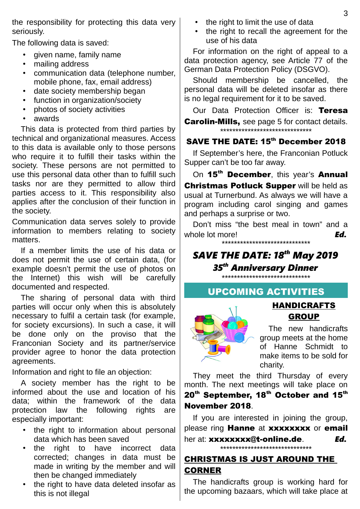the responsibility for protecting this data very seriously.

The following data is saved:

- given name, family name
- mailing address
- communication data (telephone number, mobile phone, fax, email address)
- date society membership began
- function in organization/society
- photos of society activities
- awards

This data is protected from third parties by technical and organizational measures. Access to this data is available only to those persons who require it to fulfill their tasks within the society. These persons are not permitted to use this personal data other than to fulfill such tasks nor are they permitted to allow third parties access to it. This responsibility also applies after the conclusion of their function in the society.

Communication data serves solely to provide information to members relating to society matters.

If a member limits the use of his data or does not permit the use of certain data, (for example doesn't permit the use of photos on the Internet) this wish will be carefully documented and respected.

The sharing of personal data with third parties will occur only when this is absolutely necessary to fulfil a certain task (for example, for society excursions). In such a case, it will be done only on the proviso that the Franconian Society and its partner/service provider agree to honor the data protection agreements.

Information and right to file an objection:

A society member has the right to be informed about the use and location of his data; within the framework of the data protection law the following rights are especially important:

- the right to information about personal data which has been saved
- the right to have incorrect data corrected; changes in data must be made in writing by the member and will then be changed immediately
- the right to have data deleted insofar as this is not illegal
- the right to limit the use of data
- the right to recall the agreement for the use of his data

For information on the right of appeal to a data protection agency, see Article 77 of the German Data Protection Policy (DSGVO).

Should membership be cancelled, the personal data will be deleted insofar as there is no legal requirement for it to be saved.

Our Data Protection Officer is: Teresa **Carolin-Mills, see page 5 for contact details.** \*\*\*\*\*\*\*\*\*\*\*\*\*\*\*\*\*\*\*\*\*\*\*\*\*\*\*\*\*\*

## SAVE THE DATE: 15<sup>th</sup> December 2018

If September's here, the Franconian Potluck Supper can't be too far away.

On 15<sup>th</sup> December, this year's Annual **Christmas Potluck Supper will be held as** usual at Turnerbund. As always we will have a program including carol singing and games and perhaps a surprise or two.

Don't miss "the best meal in town" and a whole lot more! **Ed.** 

\*\*\*\*\*\*\*\*\*\*\*\*\*\*\*\*\*\*\*\*\*\*\*\*\*\*\*\*\*

# *SAVE THE DATE: 18th May 2019 35th Anniversary Dinner*

\*\*\*\*\*\*\*\*\*\*\*\*\*\*\*\*\*\*\*\*\*\*\*\*\*\*\*\*\*

#### UPCOMING ACTIVITIES



The new handicrafts group meets at the home of Hanne Schmidt to make items to be sold for charity.

HANDICRAFTS **GROUP** 

They meet the third Thursday of every month. The next meetings will take place on 20<sup>th</sup> September, 18<sup>th</sup> October and 15<sup>th</sup> November 2018.

If you are interested in joining the group, please ring **Hanne** at **xxxxxxxx** or **email** her at: xxxxxxxx@t-online.de. *Ed.*

\*\*\*\*\*\*\*\*\*\*\*\*\*\*\*\*\*\*\*\*\*\*\*\*\*\*\*\*\*\*

# CHRISTMAS IS JUST AROUND THE CORNER

The handicrafts group is working hard for the upcoming bazaars, which will take place at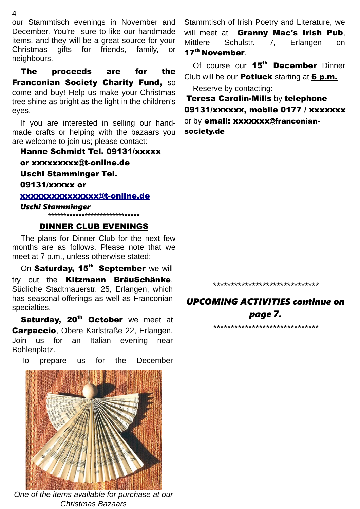our Stammtisch evenings in November and December. You're sure to like our handmade items, and they will be a great source for your Christmas gifts for friends, family, or neighbours.

The proceeds are for the **Franconian Society Charity Fund, SO** come and buy! Help us make your Christmas tree shine as bright as the light in the children's eyes.

If you are interested in selling our handmade crafts or helping with the bazaars you are welcome to join us; please contact:

Hanne Schmidt Tel. 09131/xxxxx

or xxxxxxxxx@t-online.de

Uschi Stamminger Tel.

09131/xxxxx or

[xxxxxxxxxxxxxxx@t-online.de](mailto:xxxxxxxxxxxxxxxxxxxx@t-online.de)

*Uschi Stamminger* \*\*\*\*\*\*\*\*\*\*\*\*\*\*\*\*\*\*\*\*\*\*\*\*\*\*\*\*\*\*

#### DINNER CLUB EVENINGS

The plans for Dinner Club for the next few months are as follows. Please note that we meet at 7 p.m., unless otherwise stated:

On Saturday, 15<sup>th</sup> September we will try out the Kitzmann BräuSchänke. Südliche Stadtmauerstr. 25, Erlangen, which has seasonal offerings as well as Franconian specialties.

Saturday, 20<sup>th</sup> October we meet at **Carpaccio**, Obere Karlstraße 22, Erlangen. Join us for an Italian evening near Bohlenplatz.

To prepare us for the December



*One of the items available for purchase at our Christmas Bazaars*

Stammtisch of Irish Poetry and Literature, we will meet at Granny Mac's Irish Pub, Mittlere Schulstr. 7, Erlangen on 17<sup>th</sup> November.

Of course our 15<sup>th</sup> December Dinner Club will be our **Potluck** starting at 6 p.m. Reserve by contacting:

Teresa Carolin-Mills by telephone 09131/xxxxxx, mobile 0177 / xxxxxxx or by email: xxxxxxx@franconiansociety.de

*\*\*\*\*\*\*\*\*\*\*\*\*\*\*\*\*\*\*\*\*\*\*\*\*\*\*\*\*\*\**

# *UPCOMING ACTIVITIES continue on page 7.*

*\*\*\*\*\*\*\*\*\*\*\*\*\*\*\*\*\*\*\*\*\*\*\*\*\*\*\*\*\*\**

4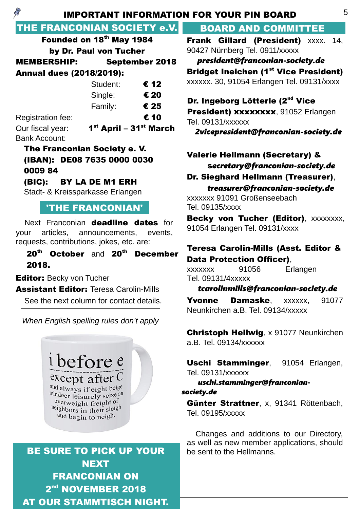| $\mathscr{G}$                                                                                                                                                                                                                     | <b>IMPORTANT INFORMATION FOR YOUR PIN BOARD</b>                                                                                                                                      |
|-----------------------------------------------------------------------------------------------------------------------------------------------------------------------------------------------------------------------------------|--------------------------------------------------------------------------------------------------------------------------------------------------------------------------------------|
| THE FRANCONIAN SOCIETY e.V.                                                                                                                                                                                                       | <b>BOARD AND COMMITTEE</b>                                                                                                                                                           |
| Founded on 18th May 1984                                                                                                                                                                                                          | Frank Gillard (President) XXXX. 14,                                                                                                                                                  |
| by Dr. Paul von Tucher                                                                                                                                                                                                            | 90427 Nürnberg Tel. 0911/xxxxx                                                                                                                                                       |
| <b>MEMBERSHIP:</b><br><b>September 2018</b>                                                                                                                                                                                       | president@franconian-society.de                                                                                                                                                      |
| <b>Annual dues (2018/2019):</b>                                                                                                                                                                                                   | <b>Bridget Ineichen (1st Vice President)</b>                                                                                                                                         |
| € 12<br>Student:                                                                                                                                                                                                                  | xxxxxx. 30, 91054 Erlangen Tel. 09131/xxxx                                                                                                                                           |
| € 20<br>Single:                                                                                                                                                                                                                   | Dr. Ingeborg Lötterle (2 <sup>nd</sup> Vice                                                                                                                                          |
| € 25<br>Family:                                                                                                                                                                                                                   | President) xxxxxxxx, 91052 Erlangen                                                                                                                                                  |
| € 10<br>Registration fee:                                                                                                                                                                                                         | Tel. 09131/xxxxxx                                                                                                                                                                    |
| $1st$ April – $31st$ March<br>Our fiscal year:                                                                                                                                                                                    | 2vicepresident@franconian-society.de                                                                                                                                                 |
| <b>Bank Account:</b>                                                                                                                                                                                                              |                                                                                                                                                                                      |
| The Franconian Society e. V.<br>(IBAN): DE08 7635 0000 0030<br>000984<br>(BIC): BY LA DE M1 ERH<br>Stadt- & Kreissparkasse Erlangen                                                                                               | <b>Valerie Hellmann (Secretary) &amp;</b><br>secretary@franconian-society.de<br>Dr. Sieghard Hellmann (Treasurer),<br>treasurer@franconian-society.de<br>xxxxxxx 91091 Großenseebach |
| <b>'THE FRANCONIAN'</b>                                                                                                                                                                                                           | Tel. 09135/xxxx<br>Becky von Tucher (Editor), XXXXXXXX,                                                                                                                              |
| Next Franconian deadline dates for<br>articles, announcements, events,<br>your<br>requests, contributions, jokes, etc. are:<br>20 <sup>th</sup> October and 20 <sup>th</sup> December<br>2018.<br><b>Editor: Becky von Tucher</b> | 91054 Erlangen Tel. 09131/xxxx<br><b>Teresa Carolin-Mills (Asst. Editor &amp;</b><br><b>Data Protection Officer),</b><br>91056<br>Erlangen<br>XXXXXXX<br>Tel. 09131/4xxxxx           |
| <b>Assistant Editor: Teresa Carolin-Mills</b>                                                                                                                                                                                     | tcarolinmills@franconian-society.de                                                                                                                                                  |
| See the next column for contact details.<br>When English spelling rules don't apply                                                                                                                                               | <b>Damaske,</b><br>91077<br><b>Yvonne</b><br>XXXXXX,<br>Neunkirchen a.B. Tel. 09134/xxxxx                                                                                            |
|                                                                                                                                                                                                                                   | <b>Christoph Hellwig, x 91077 Neunkirchen</b><br>a.B. Tel. 09134/xxxxxx                                                                                                              |
| i before e<br>and always if eight beige<br>reindeer leisurely seize and                                                                                                                                                           | Uschi Stamminger, 91054 Erlangen,<br>Tel. 09131/xxxxxx<br>uschi.stamminger@franconian-<br>society.de                                                                                 |
| <sup>overweight</sup> freight of<br>and begin to neigh.                                                                                                                                                                           | Günter Strattner, x, 91341 Röttenbach,<br>Tel. 09195/xxxxx                                                                                                                           |
| <b>BE SURE TO PICK UP YOUR</b><br><b>NEXT</b>                                                                                                                                                                                     | Changes and additions to our Directory,<br>as well as new member applications, should<br>be sent to the Hellmanns.                                                                   |

FRANCONIAN ON

2<sup>nd</sup> NOVEMBER 2018 AT OUR STAMMTISCH NIGHT. 5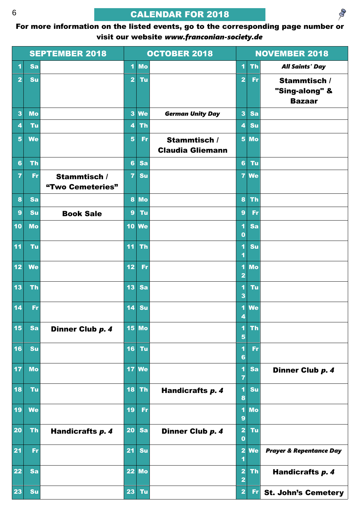# CALENDAR FOR 2018

For more information on the listed events, go to the corresponding page number or visit our website *www.franconian-society.de*

|                         |           | <b>SEPTEMBER 2018</b> |                         |           | <b>OCTOBER 2018</b>     |                                                    |           | <b>NOVEMBER 2018</b>               |
|-------------------------|-----------|-----------------------|-------------------------|-----------|-------------------------|----------------------------------------------------|-----------|------------------------------------|
| 1                       | Sa        |                       | $\blacktriangleleft$    | <b>Mo</b> |                         | $\blacktriangleleft$                               | <b>Th</b> | <b>All Saints' Day</b>             |
| $\overline{2}$          | Su        |                       | $\overline{2}$          | Tu        |                         | $\overline{2}$                                     | Fr        | Stammtisch /                       |
|                         |           |                       |                         |           |                         |                                                    |           | "Sing-along" &                     |
| $\overline{\mathbf{3}}$ | <b>Mo</b> |                       | $\overline{\mathbf{3}}$ | <b>We</b> | <b>German Unity Day</b> | $\overline{\mathbf{3}}$                            | Sa        | <b>Bazaar</b>                      |
| 4                       | Tu        |                       | $\overline{\mathbf{4}}$ | <b>Th</b> |                         | 4                                                  | Su        |                                    |
| 5                       | <b>We</b> |                       | $5\phantom{1}$          | <b>Fr</b> | Stammtisch /            | 5 <sup>5</sup>                                     | <b>Mo</b> |                                    |
|                         |           |                       |                         |           | <b>Claudia Gliemann</b> |                                                    |           |                                    |
| $6\phantom{a}$          | <b>Th</b> |                       | $6\phantom{a}$          | Sa        |                         | $6\phantom{a}$                                     | Tu        |                                    |
| 7                       | <b>Fr</b> | Stammtisch /          | $\overline{7}$          | Su        |                         | $\overline{7}$                                     | <b>We</b> |                                    |
|                         |           | "Two Cemeteries"      |                         |           |                         |                                                    |           |                                    |
| 8                       | Sa        |                       | 8                       | <b>Mo</b> |                         | $\bf{8}$                                           | <b>Th</b> |                                    |
| 9                       | <b>Su</b> | <b>Book Sale</b>      | $\boldsymbol{9}$        | Tu        |                         | $\overline{9}$                                     | <b>Fr</b> |                                    |
| 10                      | <b>Mo</b> |                       | 10                      | <b>We</b> |                         | 1<br>$\bf{0}$                                      | Sa        |                                    |
| 11                      | Tu        |                       | 11                      | <b>Th</b> |                         | 1<br>$\overline{\mathbf{1}}$                       | Su        |                                    |
| 12                      | <b>We</b> |                       | 12                      | Fr        |                         | 1                                                  | <b>Mo</b> |                                    |
|                         |           |                       |                         |           |                         | $\overline{\mathbf{2}}$                            |           |                                    |
| 13                      | <b>Th</b> |                       | 13                      | Sa        |                         | 1<br>3                                             | Tu        |                                    |
| 14                      | Fr        |                       | 14                      | Su        |                         | 1<br>4                                             | <b>We</b> |                                    |
| 15                      | Sa        | Dinner Club p. 4      | 15                      | <b>Mo</b> |                         | 1<br>5                                             | <b>Th</b> |                                    |
| 16                      | Su        |                       | 16                      | Tu        |                         | 0<br>$6\phantom{a}$                                | <b>Fr</b> |                                    |
| 17                      | <b>Mo</b> |                       | 17                      | <b>We</b> |                         | 1<br>$\overline{\mathbf{r}}$                       | Sa        | Dinner Club p. 4                   |
| 18                      | Tu        |                       | 18                      | <b>Th</b> | Handicrafts p. 4        | 1<br>$\bf{8}$                                      | Su        |                                    |
| 19                      | <b>We</b> |                       | 19                      | Fr        |                         | 1<br>9                                             | <b>Mo</b> |                                    |
| 20                      | <b>Th</b> | Handicrafts p. 4      | 20                      | Sa        | Dinner Club p. 4        | $\overline{\mathbf{2}}$<br>$\bf{0}$                | <b>Tu</b> |                                    |
| 21                      | <b>Fr</b> |                       | 21                      | Su        |                         | $\overline{\mathbf{2}}$<br>1                       | <b>We</b> | <b>Prayer &amp; Repentance Day</b> |
| 22                      | Sa        |                       |                         | $22$ Mo   |                         | $\overline{\mathbf{2}}$<br>$\overline{\mathbf{2}}$ | <b>Th</b> | Handicrafts p. 4                   |
| 23                      | Su        |                       | 23                      | Tu        |                         | $\overline{\mathbf{2}}$                            | <b>Fr</b> | <b>St. John's Cemetery</b>         |

 $\mathscr{D}$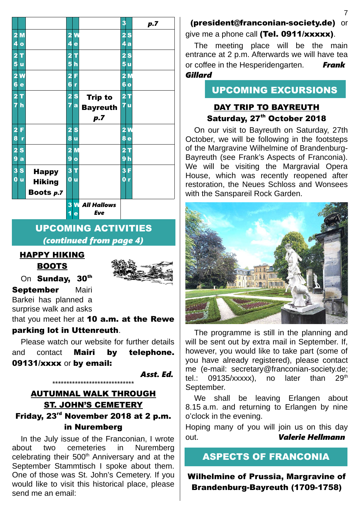|                              |               |                              |                                               | 3                            | p.7 |
|------------------------------|---------------|------------------------------|-----------------------------------------------|------------------------------|-----|
| $\overline{\mathbf{2}}$<br>M |               | 2<br>$\overline{\mathbf{v}}$ |                                               | $\overline{\mathbf{2}}$<br>S |     |
| 4<br>$\bullet$               |               | 4                            | e                                             | Q<br>$\mathbf{a}$            |     |
| $\overline{\mathbf{2}}$<br>т |               | $\overline{\mathbf{2}}$<br>Ī |                                               | 2<br>S                       |     |
| 5<br>ū                       |               | 5                            | h                                             | 5<br>ū                       |     |
| $\overline{2}$<br>W          |               | $\overline{\mathbf{2}}$      | F                                             | $\overline{\mathbf{2}}$<br>M |     |
| $6\phantom{a}6$<br>e         |               | 6<br>r                       |                                               | $\bf{6}$<br>$\bullet$        |     |
| $\overline{2}$<br>т          |               | 2                            | S<br><b>Trip to</b>                           | $\overline{a}$<br>т          |     |
| 7<br>h                       |               | 7<br>$\mathbf{a}$            | <b>Bayreuth</b>                               | $\overline{7}$<br>ū          |     |
|                              |               |                              | p.7                                           |                              |     |
| $\overline{\mathbf{2}}$<br>F |               | $\overline{\mathbf{2}}$<br>S |                                               | W<br>$\mathbf{z}$            |     |
| 8                            |               | 8<br>ū                       |                                               | 8<br>e                       |     |
| $\overline{\mathbf{2}}$<br>S |               | 2                            | M                                             | $\overline{\mathbf{2}}$<br>т |     |
| 9<br>a                       |               | 9<br>$\bullet$               |                                               | 9<br>h                       |     |
| 3<br>S                       | <b>Happy</b>  | 3<br>т                       |                                               | 3<br>F                       |     |
| $\bf{0}$<br>ū                | <b>Hiking</b> | 0<br>ū                       |                                               | $\overline{\mathbf{0}}$<br>r |     |
|                              | Boots p.7     |                              |                                               |                              |     |
|                              |               | 3                            | $\overline{\mathsf{M}}$<br><b>All Hallows</b> |                              |     |

*Eve*

1 e

#### UPCOMING ACTIVITIES *(continued from page 4)*

#### HAPPY HIKING BOOTS



On Sundav. 30th

September Mairi Barkei has planned a surprise walk and asks

that you meet her at  $10$  a.m. at the Rewe parking lot in Uttenreuth.

Please watch our website for further details and contact Mairi by telephone. 09131/xxxx or by email:

*Asst. Ed.*

## AUTUMNAL WALK THROUGH ST. JOHN'S CEMETERY Friday, 23rd November 2018 at 2 p.m. in Nuremberg

\*\*\*\*\*\*\*\*\*\*\*\*\*\*\*\*\*\*\*\*\*\*\*\*\*\*\*\*\*

In the July issue of the Franconian, I wrote about two cemeteries in Nuremberg celebrating their  $500<sup>th</sup>$  Anniversary and at the September Stammtisch I spoke about them. One of those was St. John's Cemetery. If you would like to visit this historical place, please send me an email:

# (president@franconian-society.de) or give me a phone call (Tel. 0911/xxxxx).

The meeting place will be the main entrance at 2 p.m. Afterwards we will have tea or coffee in the Hesperidengarten. *Frank Gillard*

## UPCOMING EXCURSIONS

## DAY TRIP TO BAYREUTH Saturday, 27<sup>th</sup> October 2018

On our visit to Bayreuth on Saturday, 27th October, we will be following in the footsteps of the Margravine Wilhelmine of Brandenburg-Bayreuth (see Frank's Aspects of Franconia). We will be visiting the Margravial Opera House, which was recently reopened after restoration, the Neues Schloss and Wonsees with the Sanspareil Rock Garden.



The programme is still in the planning and will be sent out by extra mail in September. If, however, you would like to take part (some of you have already registered), please contact me (e-mail: secretary@franconian-society.de; tel.:  $09135/xxxx$ ; no later than  $29<sup>th</sup>$ September.

We shall be leaving Erlangen about 8.15 a.m. and returning to Erlangen by nine o'clock in the evening.

Hoping many of you will join us on this day out. *Valerie Hellmann*

# ASPECTS OF FRANCONIA

Wilhelmine of Prussia, Margravine of Brandenburg-Bayreuth (1709-1758)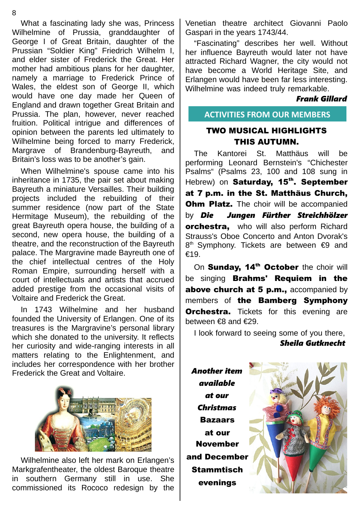What a fascinating lady she was, Princess Wilhelmine of Prussia, granddaughter of George I of Great Britain, daughter of the Prussian "Soldier King" Friedrich Wilhelm I, and elder sister of Frederick the Great. Her mother had ambitious plans for her daughter, namely a marriage to Frederick Prince of Wales, the eldest son of George II, which would have one day made her Queen of England and drawn together Great Britain and Prussia. The plan, however, never reached fruition. Political intrigue and differences of opinion between the parents led ultimately to Wilhelmine being forced to marry Frederick, Margrave of Brandenburg-Bayreuth, and Britain's loss was to be another's gain.

When Wilhelmine's spouse came into his inheritance in 1735, the pair set about making Bayreuth a miniature Versailles. Their building projects included the rebuilding of their summer residence (now part of the State Hermitage Museum), the rebuilding of the great Bayreuth opera house, the building of a second, new opera house, the building of a theatre, and the reconstruction of the Bayreuth palace. The Margravine made Bayreuth one of the chief intellectual centres of the Holy Roman Empire, surrounding herself with a court of intellectuals and artists that accrued added prestige from the occasional visits of Voltaire and Frederick the Great.

In 1743 Wilhelmine and her husband founded the University of Erlangen. One of its treasures is the Margravine's personal library which she donated to the university. It reflects her curiosity and wide-ranging interests in all matters relating to the Enlightenment, and includes her correspondence with her brother Frederick the Great and Voltaire.



Wilhelmine also left her mark on Erlangen's Markgrafentheater, the oldest Baroque theatre in southern Germany still in use. She commissioned its Rococo redesign by the

Venetian theatre architect Giovanni Paolo Gaspari in the years 1743/44.

"Fascinating" describes her well. Without her influence Bayreuth would later not have attracted Richard Wagner, the city would not have become a World Heritage Site, and Erlangen would have been far less interesting. Wilhelmine was indeed truly remarkable.

#### *Frank Gillard*

**ACTIVITIES FROM OUR MEMBERS**

#### TWO MUSICAL HIGHLIGHTS THIS AUTUMN.

The Kantorei St. Matthäus will be performing Leonard Bernstein's "Chichester Psalms" (Psalms 23, 100 and 108 sung in Hebrew) on Saturday, 15<sup>th</sup>. September at 7 p.m. in the St. Matthäus Church, **Ohm Platz.** The choir will be accompanied by *Die Jungen Fürther Streichhölzer* **orchestra,** who will also perform Richard Strauss's Oboe Concerto and Anton Dvorak's 8<sup>th</sup> Symphony. Tickets are between €9 and €19.

On Sunday, 14<sup>th</sup> October the choir will be singing **Brahms' Requiem in the** above church at 5 p.m., accompanied by members of the Bamberg Symphony **Orchestra.** Tickets for this evening are between €8 and €29.

I look forward to seeing some of you there,

*Sheila Gutknecht*

*Another item available at our Christmas* Bazaars at our November and December **Stammtisch** evenings

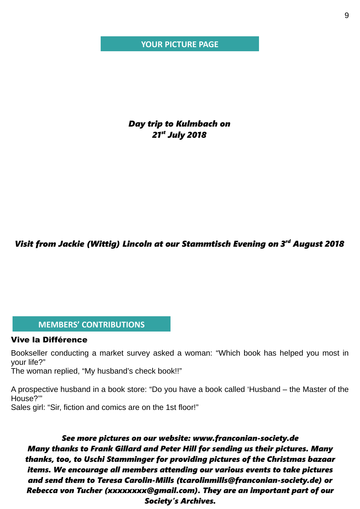#### **YOUR PICTURE PAGE**

*Day trip to Kulmbach on 21st July 2018*

*Visit from Jackie (Wittig) Lincoln at our Stammtisch Evening on 3rd August 2018*

#### **MEMBERS' CONTRIBUTIONS**

#### Vive la Différence

Bookseller conducting a market survey asked a woman: "Which book has helped you most in your life?"

The woman replied, "My husband's check book!!"

A prospective husband in a book store: "Do you have a book called 'Husband – the Master of the House?'"

Sales girl: "Sir, fiction and comics are on the 1st floor!"

*See more pictures on our website: www.franconian-society.de Many thanks to Frank Gillard and Peter Hill for sending us their pictures. Many thanks, too, to Uschi Stamminger for providing pictures of the Christmas bazaar items. We encourage all members attending our various events to take pictures and send them to Teresa Carolin-Mills (tcarolinmills@franconian-society.de) or Rebecca von Tucher (xxxxxxxx@gmail.com). They are an important part of our Society's Archives.*